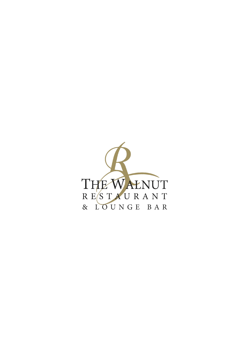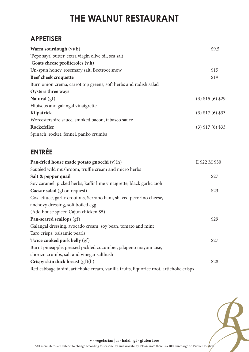## **THE WALNUT RESTAURANT**

### **APPETISER**

| Warm sourdough $(v)(h)$                                          | \$9.5                 |
|------------------------------------------------------------------|-----------------------|
| 'Pepe saya' butter, extra virgin olive oil, sea salt             |                       |
| Goats cheese profiteroles $(v,h)$                                |                       |
| Un-spun honey, rosemary salt, Beetroot snow                      | \$15                  |
| Beef cheek croquette                                             | \$19                  |
| Burn onion crema, carrot top greens, soft herbs and radish salad |                       |
| Oysters three ways                                               |                       |
| Natural $(gf)$                                                   | $(3)$ \$15 $(6)$ \$29 |
| Hibiscus and galangal vinaigrette                                |                       |
| Kilpatrick                                                       | $(3)$ \$17 $(6)$ \$33 |
| Worcestershire sauce, smoked bacon, tabasco sauce                |                       |
| Rockefeller                                                      | $(3)$ \$17 $(6)$ \$33 |
| Spinach, rocket, fennel, panko crumbs                            |                       |

### **ENTRÉE**

| Pan-fried house made potato gnocchi $(v)(h)$                                          | E \$22 M \$30 |
|---------------------------------------------------------------------------------------|---------------|
| Sautéed wild mushroom, truffle cream and micro herbs                                  |               |
| Salt & pepper quail                                                                   | \$27          |
| Soy caramel, picked herbs, kaffir lime vinaigrette, black garlic aioli                |               |
| Caesar salad (gf on request)                                                          | \$23          |
| Cos lettuce, garlic croutons, Serrano ham, shaved pecorino cheese,                    |               |
| anchovy dressing, soft boiled egg                                                     |               |
| (Add house spiced Cajun chicken \$5)                                                  |               |
| Pan-seared scallops (gf)                                                              | \$29          |
| Galangal dressing, avocado cream, soy bean, tomato and mint                           |               |
| Taro crisps, balsamic pearls                                                          |               |
| Twice cooked pork belly (gf)                                                          | \$27          |
| Burnt pineapple, pressed pickled cucumber, jalapeno mayonnaise,                       |               |
| chorizo crumbs, salt and vinegar saltbush                                             |               |
| Crispy skin duck breast $(gf)(h)$                                                     | \$28          |
| Red cabbage tahini, artichoke cream, vanilla fruits, liquorice root, artichoke crisps |               |
|                                                                                       |               |



**v - vegetarian | h - halal | gf - gluten free**

\*All menu items are subject to change according to seasonality and availability. Please note there is a 10% surcharge on Public Holi $\frac{h}{k}$ ays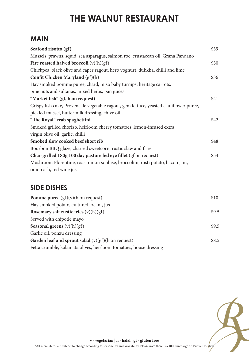## **THE WALNUT RESTAURANT**

#### **MAIN**

| Seafood risotto (gf)                                                                   | \$39 |
|----------------------------------------------------------------------------------------|------|
| Mussels, prawns, squid, sea asparagus, salmon roe, crustacean oil, Grana Pandano       |      |
| Fire roasted halved broccoli $(v)(h)(gf)$                                              | \$30 |
| Chickpea, black olive and caper ragout, herb yoghurt, dukkha, chilli and lime          |      |
| Confit Chicken Maryland (gf)(h)                                                        | \$36 |
| Hay smoked pomme puree, chard, miso baby turnips, heritage carrots,                    |      |
| pine nuts and sultanas, mixed herbs, pan juices                                        |      |
| "Market fish" (gf, h on request)                                                       | \$41 |
| Crispy fish cake, Provencale vegetable ragout, gem lettuce, yeasted cauliflower puree, |      |
| pickled mussel, buttermilk dressing, chive oil                                         |      |
| "The Royal" crab spaghettini                                                           | \$42 |
| Smoked grilled chorizo, heirloom cherry tomatoes, lemon-infused extra                  |      |
| virgin olive oil, garlic, chilli                                                       |      |
| Smoked slow cooked beef short rib                                                      | \$48 |
| Bourbon BBQ glaze, charred sweetcorn, rustic slaw and fries                            |      |
| Char-grilled 180g 100 day pasture fed eye fillet (gf on request)                       | \$54 |
| Mushroom Florentine, roast onion soubise, broccolini, rosti potato, bacon jam,         |      |
| onion ash, red wine jus                                                                |      |

#### **SIDE DISHES**

| <b>Pomme puree</b> $(gf)(v)(h)$ on request)                       | \$10  |
|-------------------------------------------------------------------|-------|
| Hay smoked potato, cultured cream, jus                            |       |
| Rosemary salt rustic fries $(v)(h)(gf)$                           | \$9.5 |
| Served with chipotle mayo                                         |       |
| <b>Seasonal greens</b> $(v)(h)(gf)$                               | \$9.5 |
| Garlic oil, ponzu dressing                                        |       |
| Garden leaf and sprout salad $(v)(gf)(h)$ on request)             | \$8.5 |
| Fetta crumble, kalamata olives, heirloom tomatoes, house dressing |       |



**v - vegetarian | h - halal | gf - gluten free**